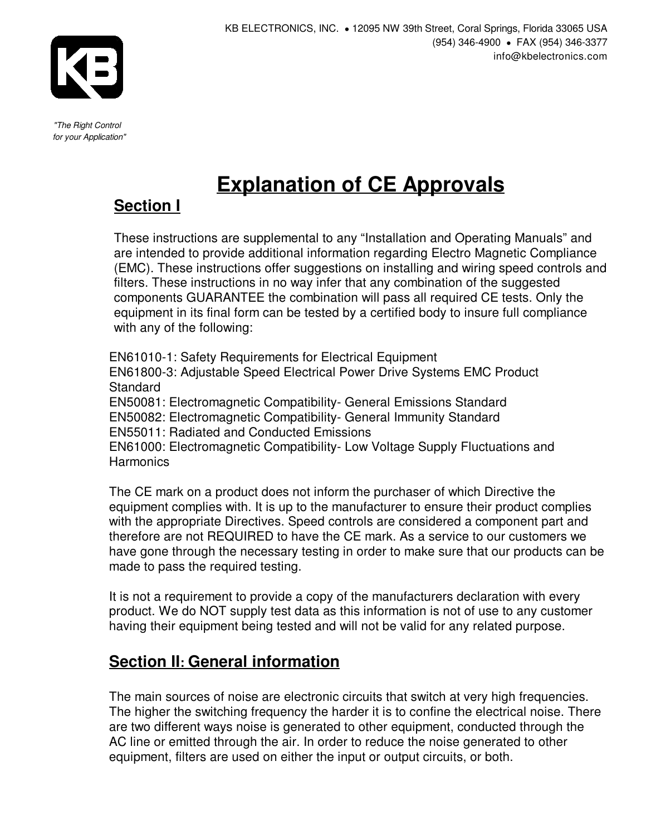

"The Right Control for your Application"

#### KB ELECTRONICS, INC. . 12095 NW 39th Street, Coral Springs, Florida 33065 USA (954) 346-4900 ! FAX (954) 346-3377 info@kbelectronics.com

# **Explanation of CE Approvals**

# **Section I**

These instructions are supplemental to any "Installation and Operating Manuals" and are intended to provide additional information regarding Electro Magnetic Compliance (EMC). These instructions offer suggestions on installing and wiring speed controls and filters. These instructions in no way infer that any combination of the suggested components GUARANTEE the combination will pass all required CE tests. Only the equipment in its final form can be tested by a certified body to insure full compliance with any of the following:

EN61010-1: Safety Requirements for Electrical Equipment EN61800-3: Adjustable Speed Electrical Power Drive Systems EMC Product **Standard** EN50081: Electromagnetic Compatibility- General Emissions Standard EN50082: Electromagnetic Compatibility- General Immunity Standard EN55011: Radiated and Conducted Emissions EN61000: Electromagnetic Compatibility- Low Voltage Supply Fluctuations and **Harmonics** 

The CE mark on a product does not inform the purchaser of which Directive the equipment complies with. It is up to the manufacturer to ensure their product complies with the appropriate Directives. Speed controls are considered a component part and therefore are not REQUIRED to have the CE mark. As a service to our customers we have gone through the necessary testing in order to make sure that our products can be made to pass the required testing.

It is not a requirement to provide a copy of the manufacturers declaration with every product. We do NOT supply test data as this information is not of use to any customer having their equipment being tested and will not be valid for any related purpose.

## **Section II: General information**

The main sources of noise are electronic circuits that switch at very high frequencies. The higher the switching frequency the harder it is to confine the electrical noise. There are two different ways noise is generated to other equipment, conducted through the AC line or emitted through the air. In order to reduce the noise generated to other equipment, filters are used on either the input or output circuits, or both.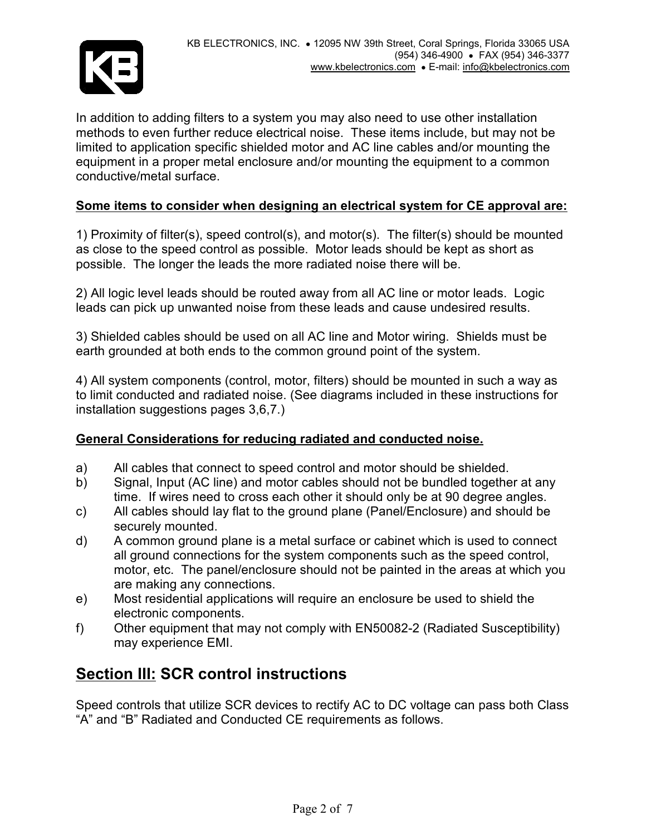

In addition to adding filters to a system you may also need to use other installation methods to even further reduce electrical noise. These items include, but may not be limited to application specific shielded motor and AC line cables and/or mounting the equipment in a proper metal enclosure and/or mounting the equipment to a common conductive/metal surface.

### Some items to consider when designing an electrical system for CE approval are:

1) Proximity of filter(s), speed control(s), and motor(s). The filter(s) should be mounted as close to the speed control as possible. Motor leads should be kept as short as possible. The longer the leads the more radiated noise there will be.

2) All logic level leads should be routed away from all AC line or motor leads. Logic leads can pick up unwanted noise from these leads and cause undesired results.

3) Shielded cables should be used on all AC line and Motor wiring. Shields must be earth grounded at both ends to the common ground point of the system.

4) All system components (control, motor, filters) should be mounted in such a way as to limit conducted and radiated noise. (See diagrams included in these instructions for installation suggestions pages 3,6,7.)

### General Considerations for reducing radiated and conducted noise.

- a) All cables that connect to speed control and motor should be shielded.
- b) Signal, Input (AC line) and motor cables should not be bundled together at any time. If wires need to cross each other it should only be at 90 degree angles.
- c) All cables should lay flat to the ground plane (Panel/Enclosure) and should be securely mounted.
- d) A common ground plane is a metal surface or cabinet which is used to connect all ground connections for the system components such as the speed control, motor, etc. The panel/enclosure should not be painted in the areas at which you are making any connections.
- e) Most residential applications will require an enclosure be used to shield the electronic components.
- f) Other equipment that may not comply with EN50082-2 (Radiated Susceptibility) may experience EMI.

### **Section III: SCR control instructions**

Speed controls that utilize SCR devices to rectify AC to DC voltage can pass both Class "A" and "B" Radiated and Conducted CE requirements as follows.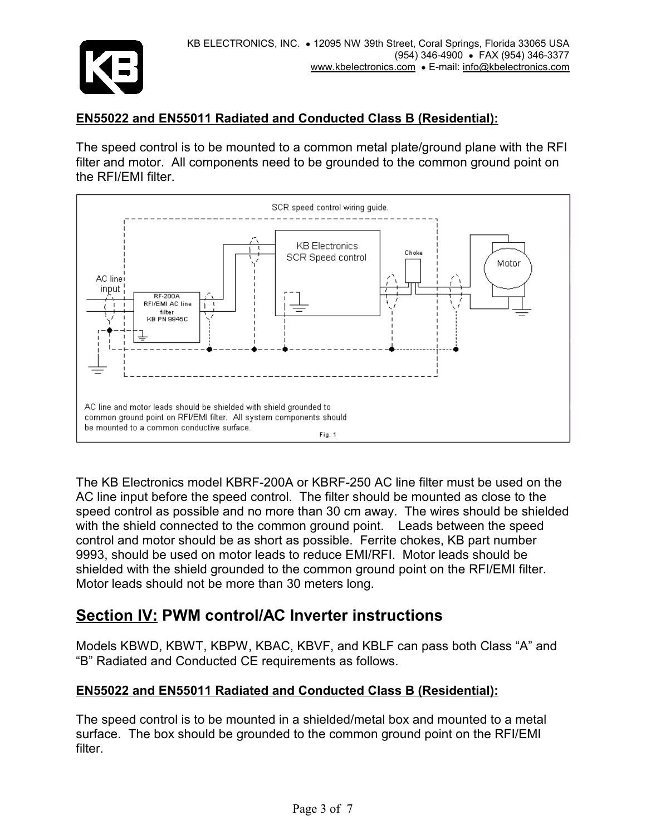

### EN55022 and EN55011 Radiated and Conducted Class B (Residential):

The speed control is to be mounted to a common metal plate/ground plane with the RFI filter and motor. All components need to be grounded to the common ground point on the RFI/EMI filter.



The KB Electronics model KBRF-200A or KBRF-250 AC line filter must be used on the AC line input before the speed control. The filter should be mounted as close to the speed control as possible and no more than 30 cm away. The wires should be shielded with the shield connected to the common ground point. Leads between the speed control and motor should be as short as possible. Ferrite chokes, KB part number 9993, should be used on motor leads to reduce EMI/RFI. Motor leads should be shielded with the shield grounded to the common ground point on the RFI/EMI filter. Motor leads should not be more than 30 meters long.

### Section IV: PWM control/AC Inverter instructions

Models KBWD, KBWT, KBPW, KBAC, KBVF, and KBLF can pass both Class "A" and "B" Radiated and Conducted CE requirements as follows.

### EN55022 and EN55011 Radiated and Conducted Class B (Residential):

The speed control is to be mounted in a shielded/metal box and mounted to a metal surface. The box should be grounded to the common ground point on the RFI/EMI filter.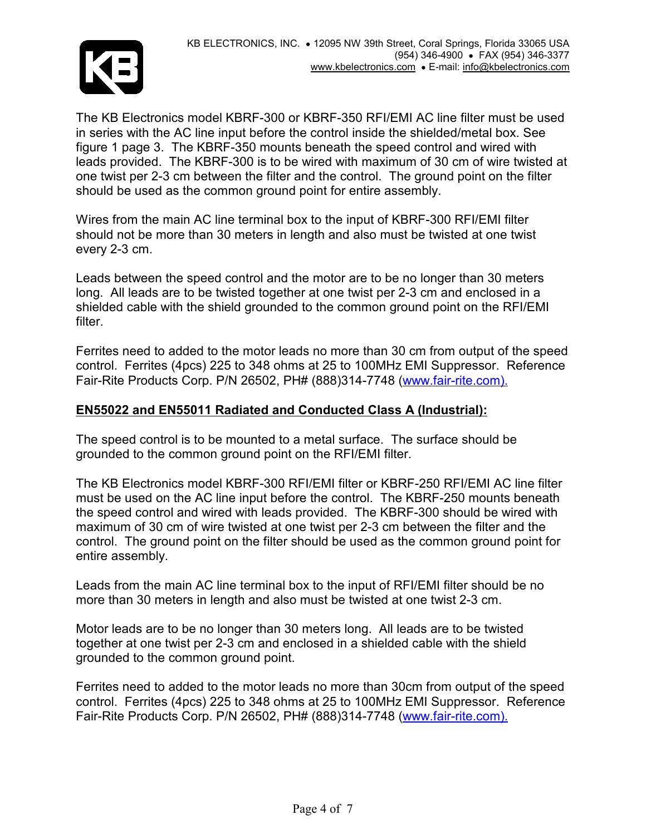

The KB Electronics model KBRF-300 or KBRF-350 RFI/EMI AC line filter must be used in series with the AC line input before the control inside the shielded/metal box. See figure 1 page 3. The KBRF-350 mounts beneath the speed control and wired with leads provided. The KBRF-300 is to be wired with maximum of 30 cm of wire twisted at one twist per 2-3 cm between the filter and the control. The ground point on the filter should be used as the common ground point for entire assembly.

Wires from the main AC line terminal box to the input of KBRF-300 RFI/EMI filter should not be more than 30 meters in length and also must be twisted at one twist every 2-3 cm.

Leads between the speed control and the motor are to be no longer than 30 meters long. All leads are to be twisted together at one twist per 2-3 cm and enclosed in a shielded cable with the shield grounded to the common ground point on the RFI/EMI filter.

Ferrites need to added to the motor leads no more than 30 cm from output of the speed control. Ferrites (4pcs) 225 to 348 ohms at 25 to 100MHz EMI Suppressor. Reference Fair-Rite Products Corp. P/N 26502, PH# (888)314-7748 (www.fair-rite.com).

### EN55022 and EN55011 Radiated and Conducted Class A (Industrial):

The speed control is to be mounted to a metal surface. The surface should be grounded to the common ground point on the RFI/EMI filter.

The KB Electronics model KBRF-300 RFI/EMI filter or KBRF-250 RFI/EMI AC line filter must be used on the AC line input before the control. The KBRF-250 mounts beneath the speed control and wired with leads provided. The KBRF-300 should be wired with maximum of 30 cm of wire twisted at one twist per 2-3 cm between the filter and the control. The ground point on the filter should be used as the common ground point for entire assembly.

Leads from the main AC line terminal box to the input of RFI/EMI filter should be no more than 30 meters in length and also must be twisted at one twist 2-3 cm.

Motor leads are to be no longer than 30 meters long. All leads are to be twisted together at one twist per 2-3 cm and enclosed in a shielded cable with the shield grounded to the common ground point.

Ferrites need to added to the motor leads no more than 30cm from output of the speed control. Ferrites (4pcs) 225 to 348 ohms at 25 to 100MHz EMI Suppressor. Reference Fair-Rite Products Corp. P/N 26502, PH# (888)314-7748 (www.fair-rite.com).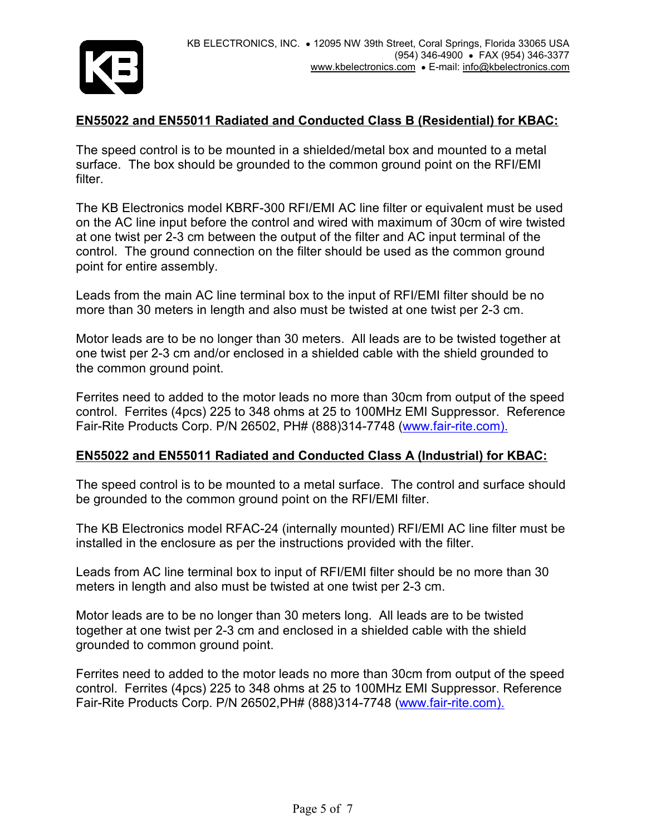

### EN55022 and EN55011 Radiated and Conducted Class B (Residential) for KBAC:

The speed control is to be mounted in a shielded/metal box and mounted to a metal surface. The box should be grounded to the common ground point on the RFI/EMI filter.

The KB Electronics model KBRF-300 RFI/EMI AC line filter or equivalent must be used on the AC line input before the control and wired with maximum of 30cm of wire twisted at one twist per 2-3 cm between the output of the filter and AC input terminal of the control. The ground connection on the filter should be used as the common ground point for entire assembly.

Leads from the main AC line terminal box to the input of RFI/EMI filter should be no more than 30 meters in length and also must be twisted at one twist per 2-3 cm.

Motor leads are to be no longer than 30 meters. All leads are to be twisted together at one twist per 2-3 cm and/or enclosed in a shielded cable with the shield grounded to the common ground point.

Ferrites need to added to the motor leads no more than 30cm from output of the speed control. Ferrites (4pcs) 225 to 348 ohms at 25 to 100MHz EMI Suppressor. Reference Fair-Rite Products Corp. P/N 26502, PH# (888)314-7748 (www.fair-rite.com).

### EN55022 and EN55011 Radiated and Conducted Class A (Industrial) for KBAC:

The speed control is to be mounted to a metal surface. The control and surface should be grounded to the common ground point on the RFI/EMI filter.

The KB Electronics model RFAC-24 (internally mounted) RFI/EMI AC line filter must be installed in the enclosure as per the instructions provided with the filter.

Leads from AC line terminal box to input of RFI/EMI filter should be no more than 30 meters in length and also must be twisted at one twist per 2-3 cm.

Motor leads are to be no longer than 30 meters long. All leads are to be twisted together at one twist per 2-3 cm and enclosed in a shielded cable with the shield grounded to common ground point.

Ferrites need to added to the motor leads no more than 30cm from output of the speed control. Ferrites (4pcs) 225 to 348 ohms at 25 to 100MHz EMI Suppressor. Reference Fair-Rite Products Corp. P/N 26502,PH# (888)314-7748 (www.fair-rite.com).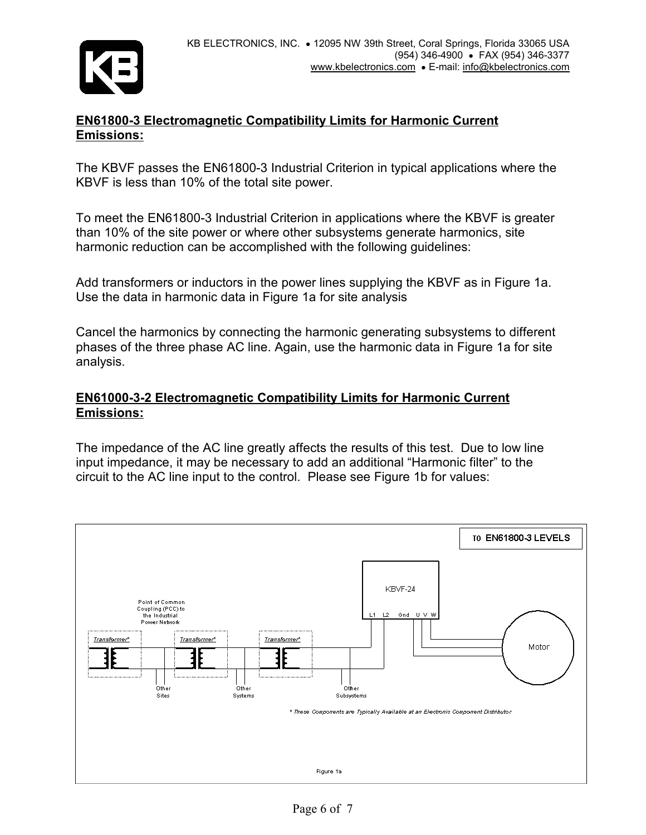

### EN61800-3 Electromagnetic Compatibility Limits for Harmonic Current Emissions:

The KBVF passes the EN61800-3 Industrial Criterion in typical applications where the KBVF is less than 10% of the total site power.

To meet the EN61800-3 Industrial Criterion in applications where the KBVF is greater than 10% of the site power or where other subsystems generate harmonics, site harmonic reduction can be accomplished with the following guidelines:

Add transformers or inductors in the power lines supplying the KBVF as in Figure 1a. Use the data in harmonic data in Figure 1a for site analysis

Cancel the harmonics by connecting the harmonic generating subsystems to different phases of the three phase AC line. Again, use the harmonic data in Figure 1a for site analysis.

### EN61000-3-2 Electromagnetic Compatibility Limits for Harmonic Current Emissions:

The impedance of the AC line greatly affects the results of this test. Due to low line input impedance, it may be necessary to add an additional "Harmonic filter" to the circuit to the AC line input to the control. Please see Figure 1b for values: